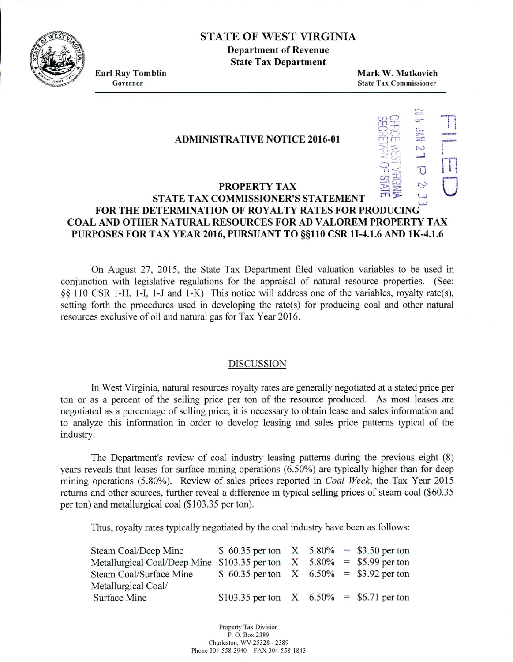## **ç '** STATE OF WEST VIRGINIA

**Department of Revenue State Tax Department**

**Earl Ray Tomblin Mark W. Malkovich State Tax Commissioner** 

 $\sim$ 

T

Z

 $\overline{U}$ 

#### **ADMINISTRATIVE NOTICE 2016-01**

### **PROPERTY TAX STATE TAX COMMISSIONER'S STATEMENT** UJ **FOR THE DETERMINATION OF ROYALTY RATES FOR PRODUCING COAL AND OTHER NATURAL RESOURCES FOR AD VALOREM PROPERTY TAX PURPOSES FOR TAX YEAR 2016, PURSUANT TO §§110 CSR 1I-4.1.6 AND 1K-4.1.6**

On August 27. 2015. the State Tax Department filed valuation variables to be used in conjunction with legislative regulations for the appraisal of natural resource properties. (See: §sS 110 CSR 1-H, 1-I, l-J and 1-K) This notice will address one of the variables, royalty rate(s), setting forth the procedures used in developing the rate(s) for producing coal and other natural resources exclusive of oil and natural gas for Tax Year 2016.

#### DISCUSSION

In West Virginia, natural resources royalty rates are generally negotiated at a stated price per ton or as a percent of the selling price per ton of the resource produced. As most leases are negotiated as a percentage of selling price, it is necessary to obtain lease and sales information and to analyze this information in order to develop leasing and sales price patterns typical of the industry.

The Department's review of coal industry leasing patterns during the previous eight (8) years reveals that leases for surface mining operations *(6.50%)* are typically higher than for deep mining operations *(5.80%).* Review of sales prices reported in *Coal Week,* the Tax Year 2015 returns and other sources, further reveal a difference in typical selling prices of steam coal (\$60.35 per ton) and metallurgical coal *(\$103.35* per ton).

Thus, royalty rates typically negotiated by the coal industry have been as follows:

| Steam Coal/Deep Mine                                                      | \$ 60.35 per ton $X = 5.80\% = 3.50$ per ton |  |  |
|---------------------------------------------------------------------------|----------------------------------------------|--|--|
| Metallurgical Coal/Deep Mine $$103.35$ per ton $X$ 5.80% = \$5.99 per ton |                                              |  |  |
| Steam Coal/Surface Mine                                                   | \$ 60.35 per ton $X$ 6.50% = \$3.92 per ton  |  |  |
| Metallurgical Coal/                                                       |                                              |  |  |
| Surface Mine                                                              | \$103.35 per ton $X = 6.50\% = 6.71$ per ton |  |  |

Property Tax Division P. 0. Box 2389 Charleston, WV 25328 . 2389 Phone 304-558.3940 FAX 304-558-1843